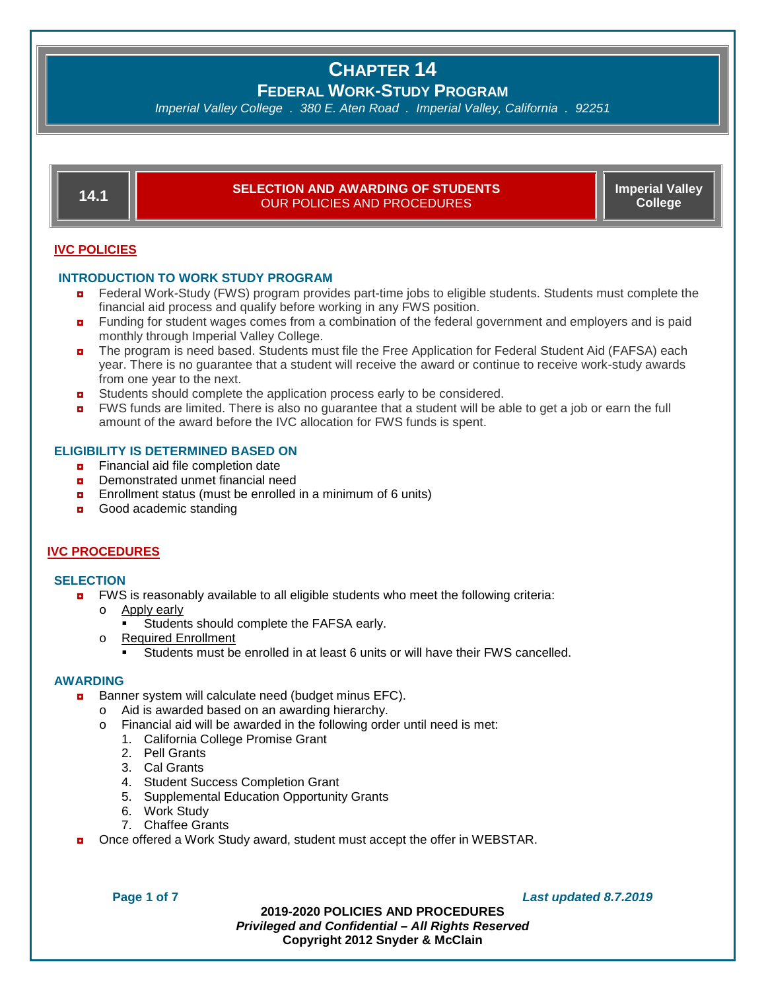**FEDERAL WORK-STUDY PROGRAM**

*Imperial Valley College . 380 E. Aten Road . Imperial Valley, California . 92251*

| 14.1           | <b>SELECTION AND AWARDING OF STUDENTS</b><br><b>OUR POLICIES AND PROCEDURES</b>                                                                                                                                                                        | <b>Imperial Valley</b><br><b>College</b> |  |  |  |  |
|----------------|--------------------------------------------------------------------------------------------------------------------------------------------------------------------------------------------------------------------------------------------------------|------------------------------------------|--|--|--|--|
| $\blacksquare$ | <b>IVC POLICIES</b><br><b>INTRODUCTION TO WORK STUDY PROGRAM</b><br>Federal Work-Study (FWS) program provides part-time jobs to eligible students. Students must complete the<br>financial aid process and qualify before working in any FWS position. |                                          |  |  |  |  |
| $\blacksquare$ | Funding for student wages comes from a combination of the federal government and employers and is paid<br>monthly through Imperial Valley College.                                                                                                     |                                          |  |  |  |  |
| $\blacksquare$ | The program is need based. Students must file the Free Application for Federal Student Aid (FAFSA) each<br>year. There is no guarantee that a student will receive the award or continue to receive work-study awards<br>from one year to the next.    |                                          |  |  |  |  |

- $\blacksquare$  Students should complete the application process early to be considered.
- **n** FWS funds are limited. There is also no guarantee that a student will be able to get a job or earn the full amount of the award before the IVC allocation for FWS funds is spent.

#### **ELIGIBILITY IS DETERMINED BASED ON**

- $\blacksquare$  Financial aid file completion date
- **p** Demonstrated unmet financial need
- $\blacksquare$  Enrollment status (must be enrolled in a minimum of 6 units)
- Good academic standing

#### **IVC PROCEDURES**

#### **SELECTION**

- **D** FWS is reasonably available to all eligible students who meet the following criteria:
	- o Apply early
		- Students should complete the FAFSA early.
	- o Required Enrollment
		- Students must be enrolled in at least 6 units or will have their FWS cancelled.

#### **AWARDING**

- **Banner system will calculate need (budget minus EFC).** 
	- o Aid is awarded based on an awarding hierarchy.
	- o Financial aid will be awarded in the following order until need is met:
		- 1. California College Promise Grant
		- 2. Pell Grants
		- 3. Cal Grants
		- 4. Student Success Completion Grant
		- 5. Supplemental Education Opportunity Grants
		- 6. Work Study
		- 7. Chaffee Grants
- Once offered a Work Study award, student must accept the offer in WEBSTAR.

**Page 1 of 7** *Last updated 8.7.2019*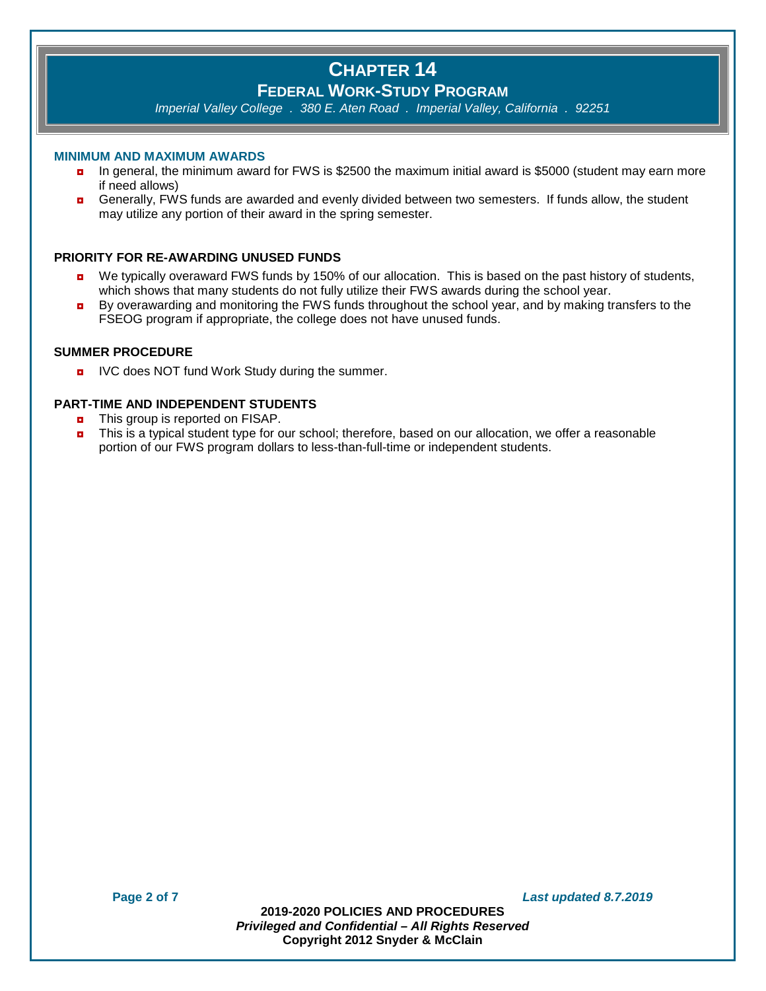# **FEDERAL WORK-STUDY PROGRAM**

*Imperial Valley College . 380 E. Aten Road . Imperial Valley, California . 92251*

#### **MINIMUM AND MAXIMUM AWARDS**

- ◘ In general, the minimum award for FWS is \$2500 the maximum initial award is \$5000 (student may earn more if need allows)
- **a** Generally, FWS funds are awarded and evenly divided between two semesters. If funds allow, the student may utilize any portion of their award in the spring semester.

# **PRIORITY FOR RE-AWARDING UNUSED FUNDS**

- **D** We typically overaward FWS funds by 150% of our allocation. This is based on the past history of students, which shows that many students do not fully utilize their FWS awards during the school year.
- **By overawarding and monitoring the FWS funds throughout the school year, and by making transfers to the** FSEOG program if appropriate, the college does not have unused funds.

## **SUMMER PROCEDURE**

**D** IVC does NOT fund Work Study during the summer.

### **PART-TIME AND INDEPENDENT STUDENTS**

- **n** This group is reported on FISAP.
- ◘ This is a typical student type for our school; therefore, based on our allocation, we offer a reasonable portion of our FWS program dollars to less-than-full-time or independent students.

**Page 2 of 7** *Last updated 8.7.2019*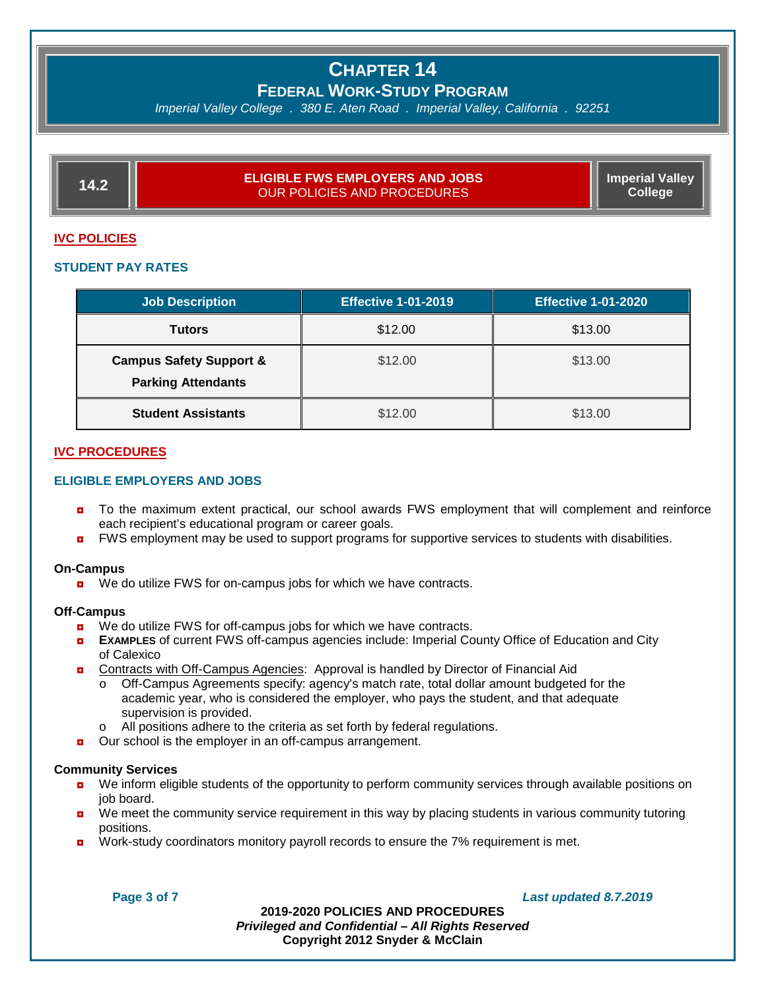**FEDERAL WORK-STUDY PROGRAM**

*Imperial Valley College . 380 E. Aten Road . Imperial Valley, California . 92251*

| <b>ELIGIBLE FWS EMPLOYERS AND JOBS</b><br>OUR POLICIES AND PROCEDURES ! | <b>Imperial Valley</b><br>College |
|-------------------------------------------------------------------------|-----------------------------------|

#### **IVC POLICIES**

#### **STUDENT PAY RATES**

| <b>Job Description</b>                                          | <b>Effective 1-01-2019</b> | <b>Effective 1-01-2020</b> |
|-----------------------------------------------------------------|----------------------------|----------------------------|
| <b>Tutors</b>                                                   | \$12.00                    | \$13.00                    |
| <b>Campus Safety Support &amp;</b><br><b>Parking Attendants</b> | \$12.00                    | \$13.00                    |
| <b>Student Assistants</b>                                       | \$12.00                    | \$13.00                    |

#### **IVC PROCEDURES**

### **ELIGIBLE EMPLOYERS AND JOBS**

- **D** To the maximum extent practical, our school awards FWS employment that will complement and reinforce each recipient's educational program or career goals.
- **D** FWS employment may be used to support programs for supportive services to students with disabilities.

#### **On-Campus**

■ We do utilize FWS for on-campus jobs for which we have contracts.

#### **Off-Campus**

- We do utilize FWS for off-campus jobs for which we have contracts.
- ◘ **EXAMPLES** of current FWS off-campus agencies include: Imperial County Office of Education and City of Calexico
- **n** Contracts with Off-Campus Agencies: Approval is handled by Director of Financial Aid
	- o Off-Campus Agreements specify: agency's match rate, total dollar amount budgeted for the academic year, who is considered the employer, who pays the student, and that adequate supervision is provided.
	- o All positions adhere to the criteria as set forth by federal regulations.
- Our school is the employer in an off-campus arrangement.

#### **Community Services**

- ◘ We inform eligible students of the opportunity to perform community services through available positions on job board.
- **D** We meet the community service requirement in this way by placing students in various community tutoring positions.
- **D** Work-study coordinators monitory payroll records to ensure the 7% requirement is met.

**Page 3 of 7** *Last updated 8.7.2019*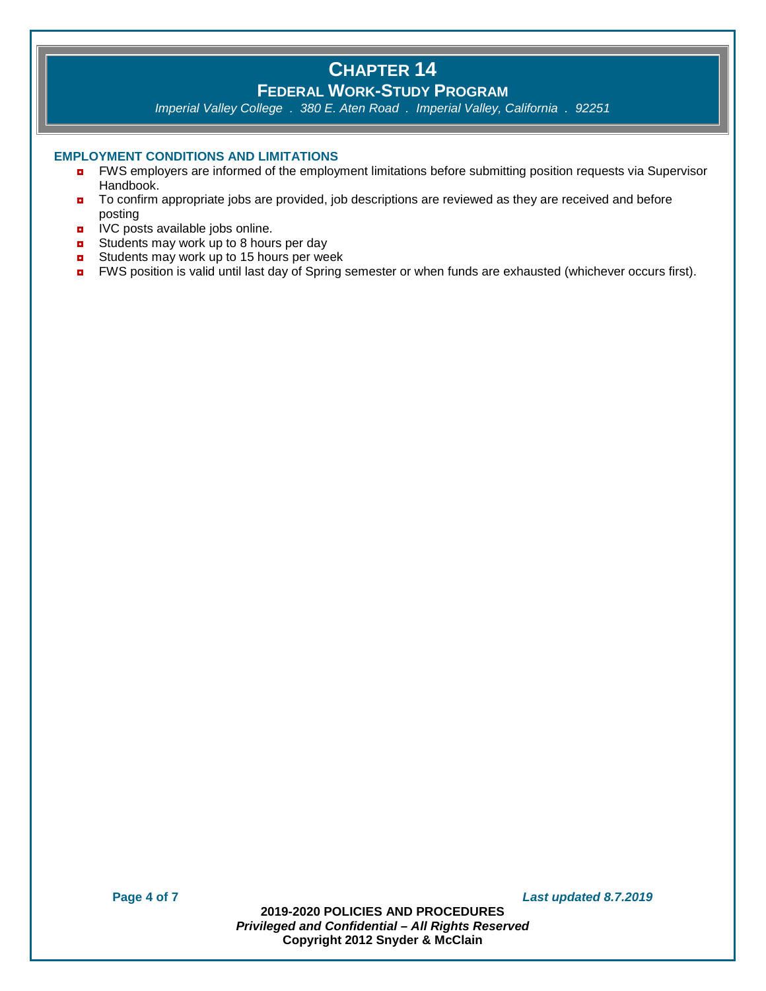# **FEDERAL WORK-STUDY PROGRAM**

*Imperial Valley College . 380 E. Aten Road . Imperial Valley, California . 92251*

### **EMPLOYMENT CONDITIONS AND LIMITATIONS**

- ◘ FWS employers are informed of the employment limitations before submitting position requests via Supervisor Handbook.
- To confirm appropriate jobs are provided, job descriptions are reviewed as they are received and before posting
- **D** IVC posts available jobs online.
- $\blacksquare$  Students may work up to 8 hours per day
- **D** Students may work up to 15 hours per week
- FWS position is valid until last day of Spring semester or when funds are exhausted (whichever occurs first).

**Page 4 of 7** *Last updated 8.7.2019*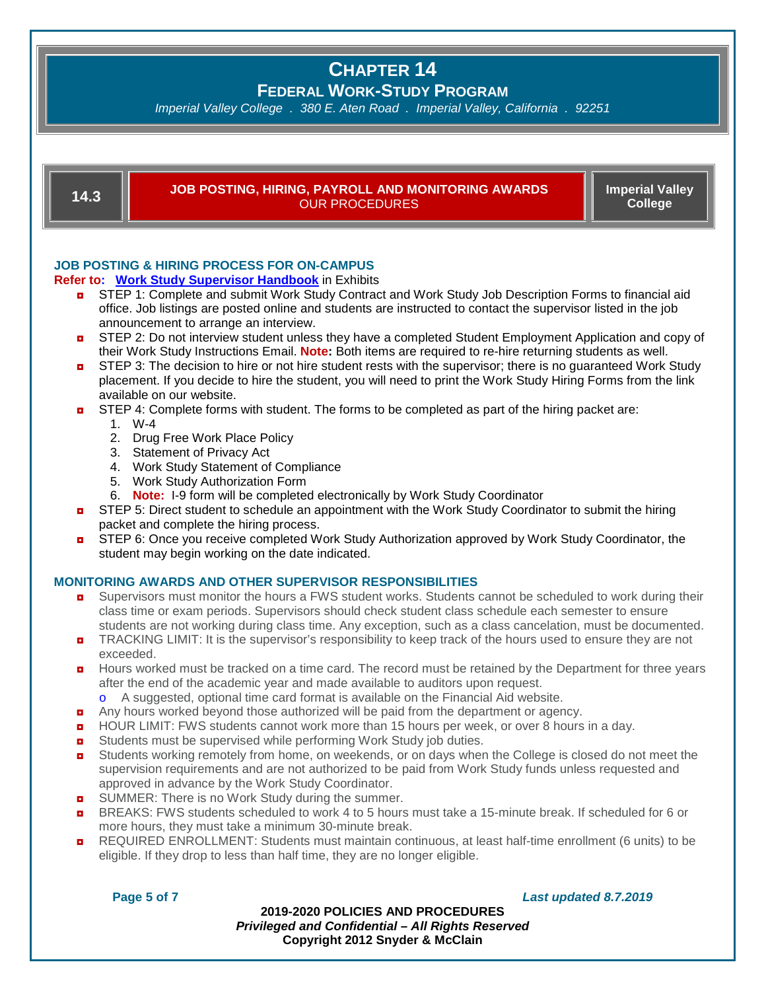**FEDERAL WORK-STUDY PROGRAM**

*Imperial Valley College . 380 E. Aten Road . Imperial Valley, California . 92251*

# **14.3 JOB POSTING, HIRING, PAYROLL AND MONITORING AWARDS**  OUR PROCEDURES

**Imperial Valley College**

# **JOB POSTING & HIRING PROCESS FOR ON-CAMPUS**

### **Refer to: Work Study Supervisor Handbook** in Exhibits

- **D** STEP 1: Complete and submit Work Study Contract and Work Study Job Description Forms to financial aid office. Job listings are posted online and students are instructed to contact the supervisor listed in the job announcement to arrange an interview.
- **D** STEP 2: Do not interview student unless they have a completed Student Employment Application and copy of their Work Study Instructions Email. **Note:** Both items are required to re-hire returning students as well.
- **D** STEP 3: The decision to hire or not hire student rests with the supervisor; there is no guaranteed Work Study placement. If you decide to hire the student, you will need to print the Work Study Hiring Forms from the link available on our website.
- **a** STEP 4: Complete forms with student. The forms to be completed as part of the hiring packet are:
	- 1. W-4
		- 2. Drug Free Work Place Policy
		- 3. Statement of Privacy Act
		- 4. Work Study Statement of Compliance
		- 5. Work Study Authorization Form
		- 6. **Note:** I-9 form will be completed electronically by Work Study Coordinator
- **D** STEP 5: Direct student to schedule an appointment with the Work Study Coordinator to submit the hiring packet and complete the hiring process.
- **D** STEP 6: Once you receive completed Work Study Authorization approved by Work Study Coordinator, the student may begin working on the date indicated.

# **MONITORING AWARDS AND OTHER SUPERVISOR RESPONSIBILITIES**

- **D** Supervisors must monitor the hours a FWS student works. Students cannot be scheduled to work during their class time or exam periods. Supervisors should check student class schedule each semester to ensure students are not working during class time. Any exception, such as a class cancelation, must be documented.
- TRACKING LIMIT: It is the supervisor's responsibility to keep track of the hours used to ensure they are not exceeded.
- $\blacksquare$  Hours worked must be tracked on a time card. The record must be retained by the Department for three years after the end of the academic year and made available to auditors upon request.
	- o A suggested, optional time card format is available on the Financial Aid website.
- **a** Any hours worked beyond those authorized will be paid from the department or agency.
- **D** HOUR LIMIT: FWS students cannot work more than 15 hours per week, or over 8 hours in a day.
- Students must be supervised while performing Work Study job duties.
- **D** Students working remotely from home, on weekends, or on days when the College is closed do not meet the supervision requirements and are not authorized to be paid from Work Study funds unless requested and approved in advance by the Work Study Coordinator.
- $\blacksquare$  SUMMER: There is no Work Study during the summer.
- $\blacksquare$  BREAKS: FWS students scheduled to work 4 to 5 hours must take a 15-minute break. If scheduled for 6 or more hours, they must take a minimum 30-minute break.
- **n** REQUIRED ENROLLMENT: Students must maintain continuous, at least half-time enrollment (6 units) to be eligible. If they drop to less than half time, they are no longer eligible.

#### **Page 5 of 7** *Last updated 8.7.2019*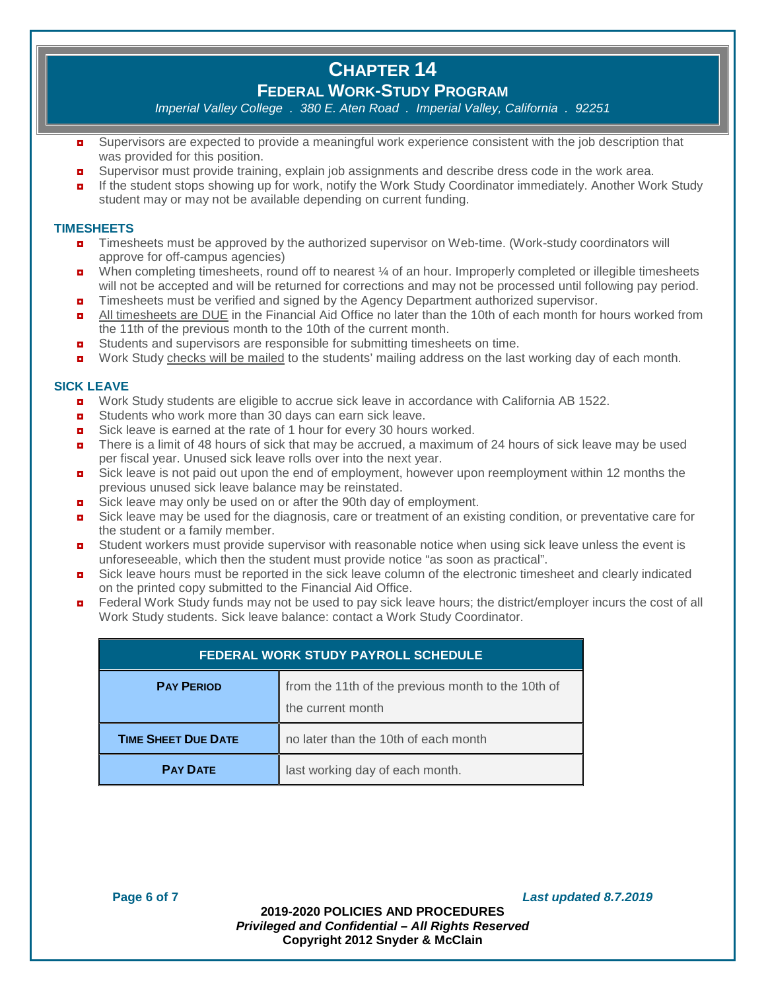# **FEDERAL WORK-STUDY PROGRAM**

*Imperial Valley College . 380 E. Aten Road . Imperial Valley, California . 92251*

- **D** Supervisors are expected to provide a meaningful work experience consistent with the job description that was provided for this position.
- **D** Supervisor must provide training, explain job assignments and describe dress code in the work area.
- **n** If the student stops showing up for work, notify the Work Study Coordinator immediately. Another Work Study student may or may not be available depending on current funding.

## **TIMESHEETS**

- ◘ Timesheets must be approved by the authorized supervisor on Web-time. (Work-study coordinators will approve for off-campus agencies)
- **D** When completing timesheets, round off to nearest  $\frac{1}{4}$  of an hour. Improperly completed or illegible timesheets will not be accepted and will be returned for corrections and may not be processed until following pay period.
- $\blacksquare$  Timesheets must be verified and signed by the Agency Department authorized supervisor.
- **a** All timesheets are DUE in the Financial Aid Office no later than the 10th of each month for hours worked from the 11th of the previous month to the 10th of the current month.
- ◘ Students and supervisors are responsible for submitting timesheets on time.
- **D** Work Study checks will be mailed to the students' mailing address on the last working day of each month.

### **SICK LEAVE**

- **D** Work Study students are eligible to accrue sick leave in accordance with California AB 1522.
- Students who work more than 30 days can earn sick leave.
- Sick leave is earned at the rate of 1 hour for every 30 hours worked.
- There is a limit of 48 hours of sick that may be accrued, a maximum of 24 hours of sick leave may be used per fiscal year. Unused sick leave rolls over into the next year.
- $\blacksquare$  Sick leave is not paid out upon the end of employment, however upon reemployment within 12 months the previous unused sick leave balance may be reinstated.
- Sick leave may only be used on or after the 90th day of employment.
- $\blacksquare$  Sick leave may be used for the diagnosis, care or treatment of an existing condition, or preventative care for the student or a family member.
- **D** Student workers must provide supervisor with reasonable notice when using sick leave unless the event is unforeseeable, which then the student must provide notice "as soon as practical".
- $\blacksquare$  Sick leave hours must be reported in the sick leave column of the electronic timesheet and clearly indicated on the printed copy submitted to the Financial Aid Office.
- Federal Work Study funds may not be used to pay sick leave hours; the district/employer incurs the cost of all Work Study students. Sick leave balance: contact a Work Study Coordinator.

| <b>FEDERAL WORK STUDY PAYROLL SCHEDULE</b>                                                   |                                      |  |
|----------------------------------------------------------------------------------------------|--------------------------------------|--|
| from the 11th of the previous month to the 10th of<br><b>PAY PERIOD</b><br>the current month |                                      |  |
| <b>TIME SHEET DUE DATE</b>                                                                   | no later than the 10th of each month |  |
| <b>PAY DATE</b>                                                                              | last working day of each month.      |  |

**Page 6 of 7** *Last updated 8.7.2019*